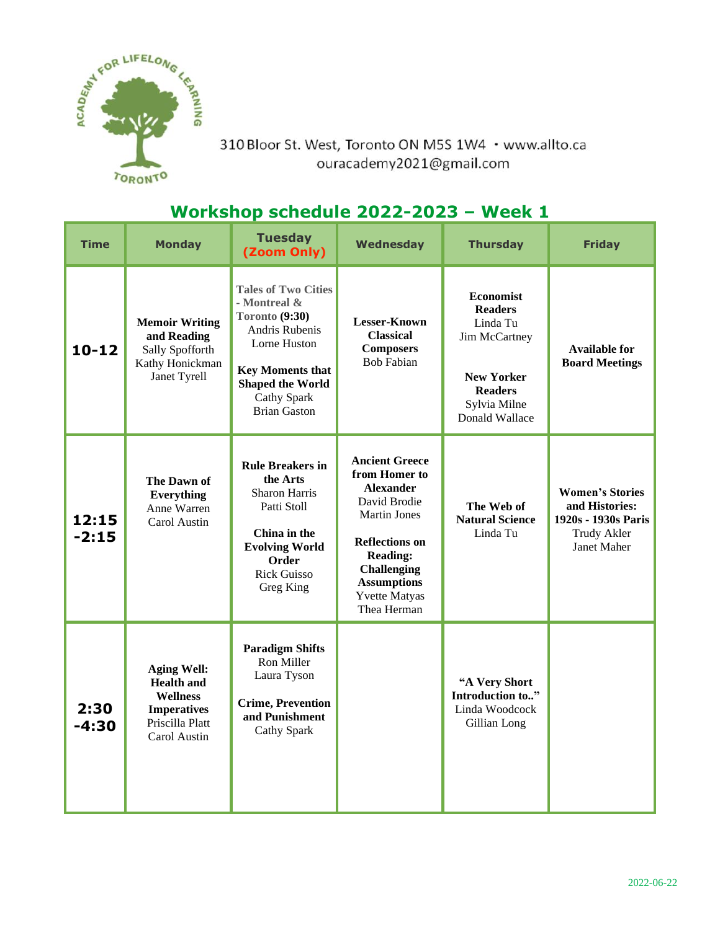

310 Bloor St. West, Toronto ON M5S 1W4 · www.allto.ca ouracademy2021@gmail.com

## **Workshop schedule 2022-2023 – Week 1**

| <b>Time</b>      | <b>Monday</b>                                                                                                       | <b>Tuesday</b><br>(Zoom Only)                                                                                                                                                              | <b>Wednesday</b>                                                                                                                                                                                                                 | <b>Thursday</b>                                                                                                                          | <b>Friday</b>                                                                                 |
|------------------|---------------------------------------------------------------------------------------------------------------------|--------------------------------------------------------------------------------------------------------------------------------------------------------------------------------------------|----------------------------------------------------------------------------------------------------------------------------------------------------------------------------------------------------------------------------------|------------------------------------------------------------------------------------------------------------------------------------------|-----------------------------------------------------------------------------------------------|
| $10 - 12$        | <b>Memoir Writing</b><br>and Reading<br>Sally Spofforth<br>Kathy Honickman<br>Janet Tyrell                          | <b>Tales of Two Cities</b><br>- Montreal &<br>Toronto (9:30)<br>Andris Rubenis<br>Lorne Huston<br><b>Key Moments that</b><br><b>Shaped the World</b><br>Cathy Spark<br><b>Brian Gaston</b> | <b>Lesser-Known</b><br><b>Classical</b><br><b>Composers</b><br><b>Bob Fabian</b>                                                                                                                                                 | <b>Economist</b><br><b>Readers</b><br>Linda Tu<br>Jim McCartney<br><b>New Yorker</b><br><b>Readers</b><br>Sylvia Milne<br>Donald Wallace | <b>Available for</b><br><b>Board Meetings</b>                                                 |
| 12:15<br>$-2:15$ | The Dawn of<br>Everything<br>Anne Warren<br>Carol Austin                                                            | <b>Rule Breakers in</b><br>the Arts<br><b>Sharon Harris</b><br>Patti Stoll<br>China in the<br><b>Evolving World</b><br>Order<br><b>Rick Guisso</b><br>Greg King                            | <b>Ancient Greece</b><br>from Homer to<br><b>Alexander</b><br>David Brodie<br><b>Martin Jones</b><br><b>Reflections on</b><br><b>Reading:</b><br><b>Challenging</b><br><b>Assumptions</b><br><b>Yvette Matyas</b><br>Thea Herman | The Web of<br><b>Natural Science</b><br>Linda Tu                                                                                         | <b>Women's Stories</b><br>and Histories:<br>1920s - 1930s Paris<br>Trudy Akler<br>Janet Maher |
| 2:30<br>$-4:30$  | <b>Aging Well:</b><br><b>Health and</b><br><b>Wellness</b><br><b>Imperatives</b><br>Priscilla Platt<br>Carol Austin | <b>Paradigm Shifts</b><br>Ron Miller<br>Laura Tyson<br><b>Crime, Prevention</b><br>and Punishment<br>Cathy Spark                                                                           |                                                                                                                                                                                                                                  | "A Very Short<br>Introduction to"<br>Linda Woodcock<br>Gillian Long                                                                      |                                                                                               |